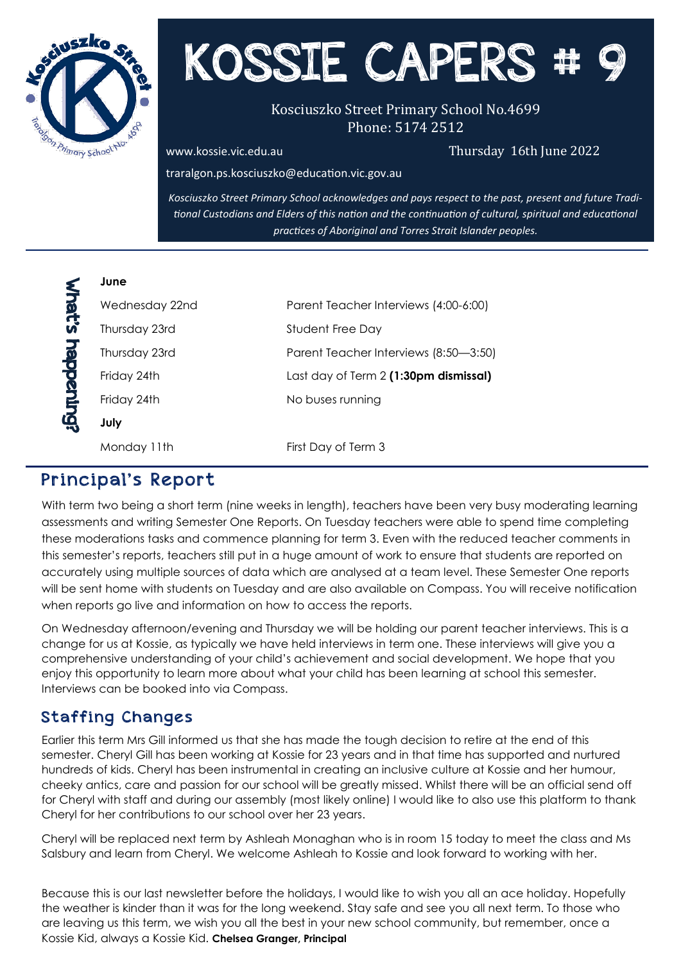

# KOSSIE CAPERS

#### Kosciuszko Street Primary School No.4699 Phone: 5174 2512

[www.kossie.vic.edu.au](http://www.kossie.vic.edu.au) Charles Controller Charles Thursday 16th June 2022

traralgon.ps.kosciuszko@education.vic.gov.au

*Kosciuszko Street Primary School acknowledges and pays respect to the past, present and future Traditional Custodians and Elders of this nation and the continuation of cultural, spiritual and educational practices of Aboriginal and Torres Strait Islander peoples.*

| Ξ<br>ŗ<br>Z |  |
|-------------|--|
| ۲           |  |
|             |  |
|             |  |

**June**

| Wednesday 22nd | Parent Teacher Interviews (4:00-6:00) |
|----------------|---------------------------------------|
| Thursday 23rd  | Student Free Day                      |
| Thursday 23rd  | Parent Teacher Interviews (8:50–3:50) |
| Friday 24th    | Last day of Term 2 (1:30pm dismissal) |
| Friday 24th    | No buses running                      |
| July           |                                       |
| Monday 11th    | First Day of Term 3                   |
|                |                                       |

#### Principal's Report

With term two being a short term (nine weeks in length), teachers have been very busy moderating learning assessments and writing Semester One Reports. On Tuesday teachers were able to spend time completing these moderations tasks and commence planning for term 3. Even with the reduced teacher comments in this semester's reports, teachers still put in a huge amount of work to ensure that students are reported on accurately using multiple sources of data which are analysed at a team level. These Semester One reports will be sent home with students on Tuesday and are also available on Compass. You will receive notification when reports go live and information on how to access the reports.

On Wednesday afternoon/evening and Thursday we will be holding our parent teacher interviews. This is a change for us at Kossie, as typically we have held interviews in term one. These interviews will give you a comprehensive understanding of your child's achievement and social development. We hope that you enjoy this opportunity to learn more about what your child has been learning at school this semester. Interviews can be booked into via Compass.

#### Staffing Changes

Earlier this term Mrs Gill informed us that she has made the tough decision to retire at the end of this semester. Cheryl Gill has been working at Kossie for 23 years and in that time has supported and nurtured hundreds of kids. Cheryl has been instrumental in creating an inclusive culture at Kossie and her humour, cheeky antics, care and passion for our school will be greatly missed. Whilst there will be an official send off for Cheryl with staff and during our assembly (most likely online) I would like to also use this platform to thank Cheryl for her contributions to our school over her 23 years.

Cheryl will be replaced next term by Ashleah Monaghan who is in room 15 today to meet the class and Ms Salsbury and learn from Cheryl. We welcome Ashleah to Kossie and look forward to working with her.

Because this is our last newsletter before the holidays, I would like to wish you all an ace holiday. Hopefully the weather is kinder than it was for the long weekend. Stay safe and see you all next term. To those who are leaving us this term, we wish you all the best in your new school community, but remember, once a Kossie Kid, always a Kossie Kid. **Chelsea Granger, Principal**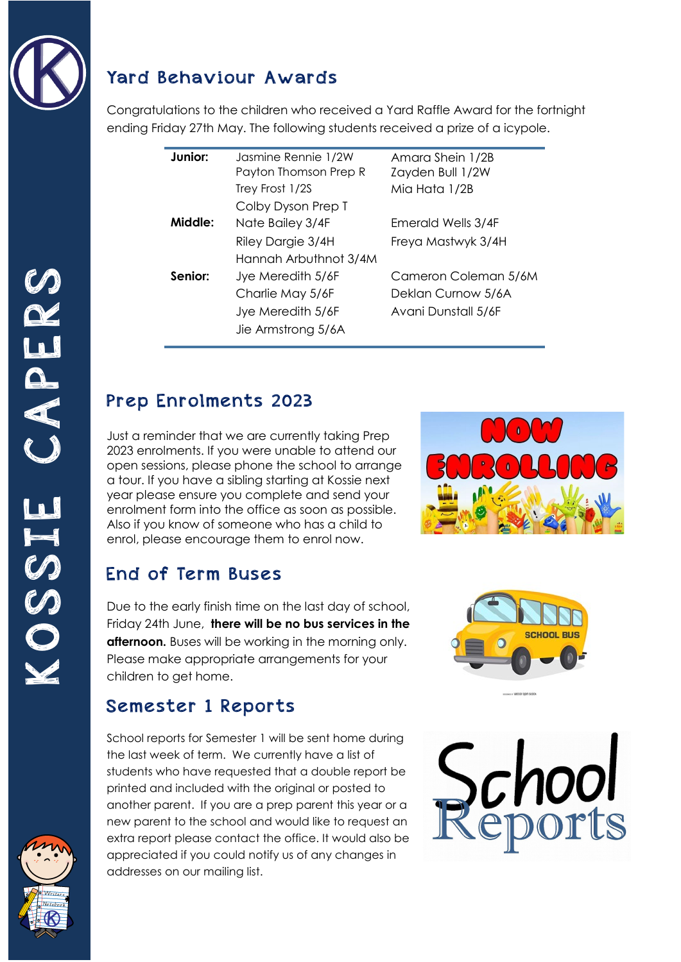

#### Yard Behaviour Awards

Congratulations to the children who received a Yard Raffle Award for the fortnight ending Friday 27th May. The following students received a prize of a icypole.

| Junior: | Jasmine Rennie 1/2W   | Amara Shein 1/2B     |
|---------|-----------------------|----------------------|
|         | Payton Thomson Prep R | Zayden Bull 1/2W     |
|         | Trey Frost 1/2S       | Mia Hata 1/2B        |
|         | Colby Dyson Prep T    |                      |
| Middle: | Nate Bailey 3/4F      | Emerald Wells 3/4F   |
|         | Riley Dargie 3/4H     | Freya Mastwyk 3/4H   |
|         | Hannah Arbuthnot 3/4M |                      |
| Senior: | Jye Meredith 5/6F     | Cameron Coleman 5/6M |
|         | Charlie May 5/6F      | Deklan Curnow 5/6A   |
|         | Jye Meredith 5/6F     | Avani Dunstall 5/6F  |
|         | Jie Armstrong 5/6A    |                      |

# Prep Enrolments 2023

Just a reminder that we are currently taking Prep 2023 enrolments. If you were unable to attend our open sessions, please phone the school to arrange a tour. If you have a sibling starting at Kossie next year please ensure you complete and send your enrolment form into the office as soon as possible. Also if you know of someone who has a child to enrol, please encourage them to enrol now.

# End of Term Buses

Due to the early finish time on the last day of school, Friday 24th June, **there will be no bus services in the afternoon.** Buses will be working in the morning only. Please make appropriate arrangements for your children to get home.

# Semester 1 Reports

School reports for Semester 1 will be sent home during the last week of term. We currently have a list of students who have requested that a double report be printed and included with the original or posted to another parent. If you are a prep parent this year or a new parent to the school and would like to request an extra report please contact the office. It would also be appreciated if you could notify us of any changes in addresses on our mailing list.